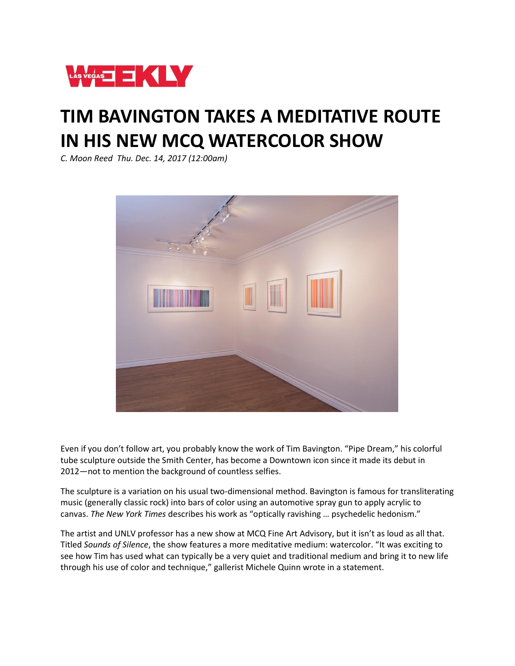

## **TIM BAVINGTON TAKES A MEDITATIVE ROUTE IN HIS NEW MCQ WATERCOLOR SHOW**

*C. Moon Reed Thu. Dec. 14, 2017 (12:00am)*



Even if you don't follow art, you probably know the work of Tim Bavington. "Pipe Dream," his colorful tube sculpture outside the Smith Center, has become a Downtown icon since it made its debut in 2012—not to mention the background of countless selfies.

The sculpture is a variation on his usual two-dimensional method. Bavington is famous for transliterating music (generally classic rock) into bars of color using an automotive spray gun to apply acrylic to canvas. *The New York Times* describes his work as "optically ravishing … psychedelic hedonism."

The artist and UNLV professor has a new show at MCQ Fine Art Advisory, but it isn't as loud as all that. Titled *Sounds of Silence*, the show features a more meditative medium: watercolor. "It was exciting to see how Tim has used what can typically be a very quiet and traditional medium and bring it to new life through his use of color and technique," gallerist Michele Quinn wrote in a statement.